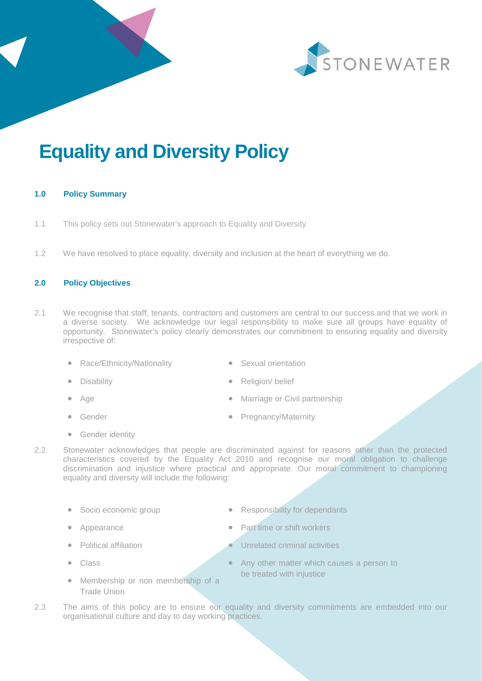



# **Equality and Diversity Policy**

# **1.0 Policy Summary**

- 1.1 This policy sets out Stonewater's approach to Equality and Diversity
- 1.2 We have resolved to place equality, diversity and inclusion at the heart of everything we do.

# **2.0 Policy Objectives**

- 2.1 We recognise that staff, tenants, contractors and customers are central to our success and that we work in a diverse society. We acknowledge our legal responsibility to make sure all groups have equality of opportunity. Stonewater's policy clearly demonstrates our commitment to ensuring equality and diversity irrespective of:
	- Race/Ethnicity/Nationality
- Sexual orientation

Religion/ belief

- **Disability**
- Age
- Gender
- Marriage or Civil partnership
- Pregnancy/Maternity

- **Gender identity**
- 2.2 Stonewater acknowledges that people are discriminated against for reasons other than the protected characteristics covered by the Equality Act 2010 and recognise our moral obligation to challenge discrimination and injustice where practical and appropriate. Our moral commitment to championing equality and diversity will include the following:
	-
	-
	-
	- Class
- Socio economic group **•** Responsibility for dependants
	- Appearance **•** Part time or shift workers
		- **Political affiliation Political activities** 
			- Any other matter which causes a person to be treated with injustice
	- Membership or non membership of a Trade Union
- 2.3 The aims of this policy are to ensure our equality and diversity commitments are embedded into our organisational culture and day to day working practices.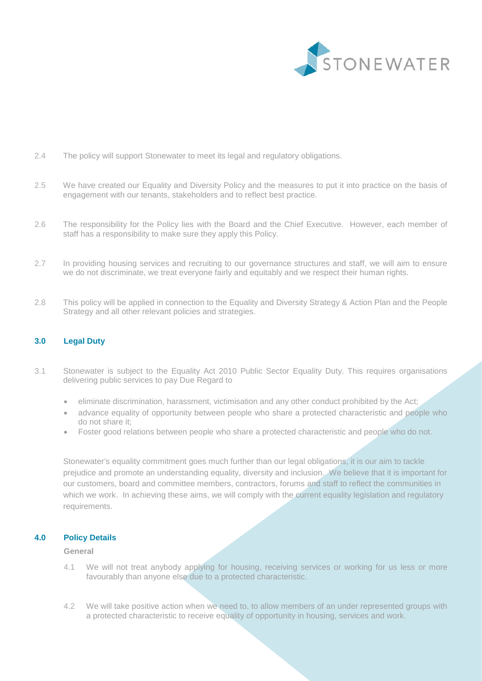

- 2.4 The policy will support Stonewater to meet its legal and regulatory obligations.
- 2.5 We have created our Equality and Diversity Policy and the measures to put it into practice on the basis of engagement with our tenants, stakeholders and to reflect best practice.
- 2.6 The responsibility for the Policy lies with the Board and the Chief Executive. However, each member of staff has a responsibility to make sure they apply this Policy.
- 2.7 In providing housing services and recruiting to our governance structures and staff, we will aim to ensure we do not discriminate, we treat everyone fairly and equitably and we respect their human rights.
- 2.8 This policy will be applied in connection to the Equality and Diversity Strategy & Action Plan and the People Strategy and all other relevant policies and strategies.

# **3.0 Legal Duty**

- 3.1 Stonewater is subject to the Equality Act 2010 Public Sector Equality Duty. This requires organisations delivering public services to pay Due Regard to
	- eliminate discrimination, harassment, victimisation and any other conduct prohibited by the Act;
	- advance equality of opportunity between people who share a protected characteristic and people who do not share it;
	- Foster good relations between people who share a protected characteristic and people who do not.

Stonewater's equality commitment goes much further than our legal obligations, it is our aim to tackle prejudice and promote an understanding equality, diversity and inclusion. We believe that it is important for our customers, board and committee members, contractors, forums and staff to reflect the communities in which we work. In achieving these aims, we will comply with the current equality legislation and regulatory requirements.

#### **4.0 Policy Details**

#### **General**

- 4.1 We will not treat anybody applying for housing, receiving services or working for us less or more favourably than anyone else due to a protected characteristic.
- 4.2 We will take positive action when we need to, to allow members of an under represented groups with a protected characteristic to receive equality of opportunity in housing, services and work.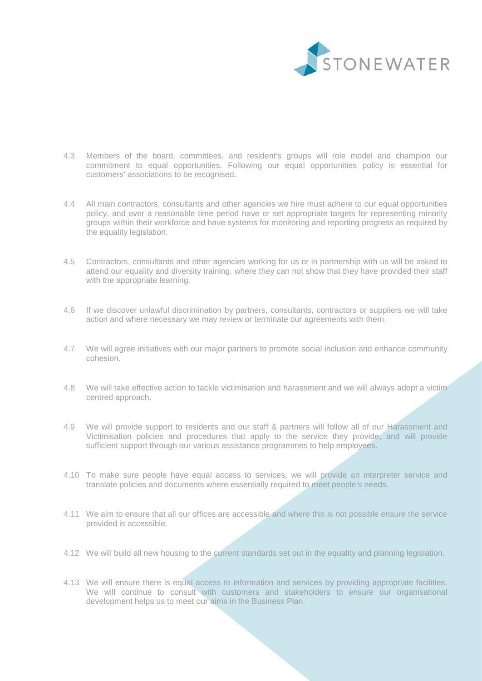

- 4.3 Members of the board, committees, and resident's groups will role model and champion our commitment to equal opportunities. Following our equal opportunities policy is essential for customers' associations to be recognised.
- 4.4 All main contractors, consultants and other agencies we hire must adhere to our equal opportunities policy, and over a reasonable time period have or set appropriate targets for representing minority groups within their workforce and have systems for monitoring and reporting progress as required by the equality legislation.
- 4.5 Contractors, consultants and other agencies working for us or in partnership with us will be asked to attend our equality and diversity training, where they can not show that they have provided their staff with the appropriate learning.
- 4.6 If we discover unlawful discrimination by partners, consultants, contractors or suppliers we will take action and where necessary we may review or terminate our agreements with them.
- 4.7 We will agree initiatives with our major partners to promote social inclusion and enhance community cohesion.
- 4.8 We will take effective action to tackle victimisation and harassment and we will always adopt a victim centred approach.
- 4.9 We will provide support to residents and our staff & partners will follow all of our Harassment and Victimisation policies and procedures that apply to the service they provide, and will provide sufficient support through our various assistance programmes to help employees.
- 4.10 To make sure people have equal access to services, we will provide an interpreter service and translate policies and documents where essentially required to meet people's needs.
- 4.11 We aim to ensure that all our offices are accessible and where this is not possible ensure the service provided is accessible.
- 4.12 We will build all new housing to the current standards set out in the equality and planning legislation.
- 4.13 We will ensure there is equal access to information and services by providing appropriate facilities. We will continue to consult with customers and stakeholders to ensure our organisational development helps us to meet our aims in the Business Plan.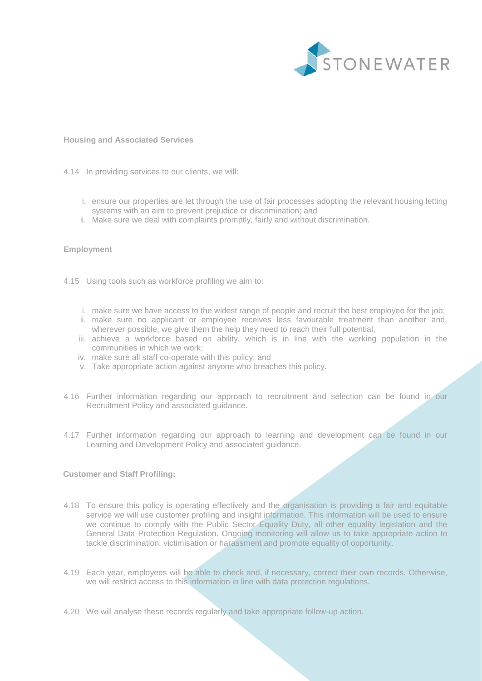

#### **Housing and Associated Services**

- 4.14 In providing services to our clients, we will:
	- i. ensure our properties are let through the use of fair processes adopting the relevant housing letting systems with an aim to prevent prejudice or discrimination; and
	- ii. Make sure we deal with complaints promptly, fairly and without discrimination.

## **Employment**

- 4.15 Using tools such as workforce profiling we aim to:
	- i. make sure we have access to the widest range of people and recruit the best employee for the job;
	- ii. make sure no applicant or employee receives less favourable treatment than another and, wherever possible, we give them the help they need to reach their full potential;
	- iii. achieve a workforce based on ability, which is in line with the working population in the communities in which we work;
	- iv. make sure all staff co-operate with this policy; and
	- v. Take appropriate action against anyone who breaches this policy.
- 4.16 Further information regarding our approach to recruitment and selection can be found in our Recruitment Policy and associated guidance.
- 4.17 Further information regarding our approach to learning and development can be found in our Learning and Development Policy and associated guidance.

#### **Customer and Staff Profiling:**

- 4.18 To ensure this policy is operating effectively and the organisation is providing a fair and equitable service we will use customer profiling and insight information. This information will be used to ensure we continue to comply with the Public Sector Equality Duty, all other equality legislation and the General Data Protection Regulation. Ongoing monitoring will allow us to take appropriate action to tackle discrimination, victimisation or harassment and promote equality of opportunity.
- 4.19 Each year, employees will be able to check and, if necessary, correct their own records. Otherwise, we will restrict access to this information in line with data protection regulations.
- 4.20 We will analyse these records regularly and take appropriate follow-up action.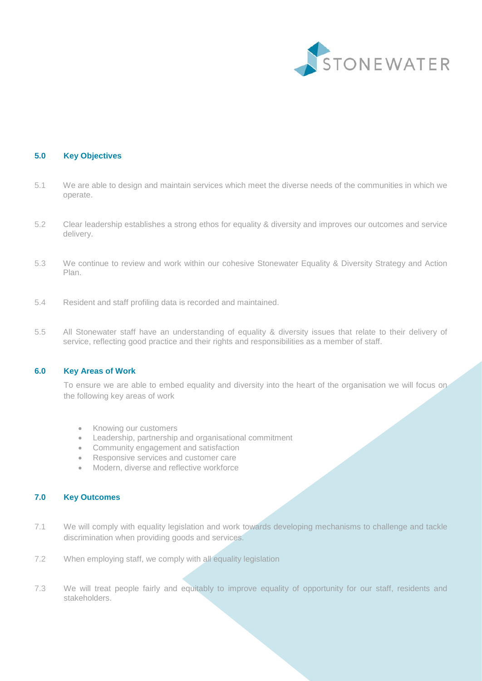

## **5.0 Key Objectives**

- 5.1 We are able to design and maintain services which meet the diverse needs of the communities in which we operate.
- 5.2 Clear leadership establishes a strong ethos for equality & diversity and improves our outcomes and service delivery.
- 5.3 We continue to review and work within our cohesive Stonewater Equality & Diversity Strategy and Action Plan.
- 5.4 Resident and staff profiling data is recorded and maintained.
- 5.5 All Stonewater staff have an understanding of equality & diversity issues that relate to their delivery of service, reflecting good practice and their rights and responsibilities as a member of staff.

## **6.0 Key Areas of Work**

To ensure we are able to embed equality and diversity into the heart of the organisation we will focus on the following key areas of work

- Knowing our customers
- Leadership, partnership and organisational commitment
- Community engagement and satisfaction
- Responsive services and customer care
- Modern, diverse and reflective workforce

## **7.0 Key Outcomes**

- 7.1 We will comply with equality legislation and work towards developing mechanisms to challenge and tackle discrimination when providing goods and services.
- 7.2 When employing staff, we comply with all equality legislation
- 7.3 We will treat people fairly and equitably to improve equality of opportunity for our staff, residents and stakeholders.